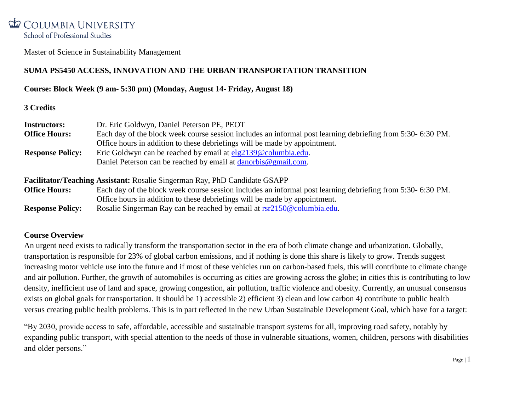Master of Science in Sustainability Management

## **SUMA PS5450 ACCESS, INNOVATION AND THE URBAN TRANSPORTATION TRANSITION**

#### **Course: Block Week (9 am- 5:30 pm) (Monday, August 14- Friday, August 18)**

#### **3 Credits**

| <b>Instructors:</b>     | Dr. Eric Goldwyn, Daniel Peterson PE, PEOT                                                                 |
|-------------------------|------------------------------------------------------------------------------------------------------------|
| <b>Office Hours:</b>    | Each day of the block week course session includes an informal post learning debriefing from 5:30-6:30 PM. |
|                         | Office hours in addition to these debriefings will be made by appointment.                                 |
| <b>Response Policy:</b> | Eric Goldwyn can be reached by email at $elg2139@columbia.edu$ .                                           |
|                         | Daniel Peterson can be reached by email at danorbis@gmail.com.                                             |
|                         |                                                                                                            |

## **Facilitator/Teaching Assistant:** Rosalie Singerman Ray, PhD Candidate GSAPP **Office Hours:** Each day of the block week course session includes an informal post learning debriefing from 5:30- 6:30 PM. Office hours in addition to these debriefings will be made by appointment.

**Response Policy:** Rosalie Singerman Ray can be reached by email at [rsr2150@columbia.edu.](mailto:rsr2150@columbia.edu)

#### **Course Overview**

An urgent need exists to radically transform the transportation sector in the era of both climate change and urbanization. Globally, transportation is responsible for 23% of global carbon emissions, and if nothing is done this share is likely to grow. Trends suggest increasing motor vehicle use into the future and if most of these vehicles run on carbon-based fuels, this will contribute to climate change and air pollution. Further, the growth of automobiles is occurring as cities are growing across the globe; in cities this is contributing to low density, inefficient use of land and space, growing congestion, air pollution, traffic violence and obesity. Currently, an unusual consensus exists on global goals for transportation. It should be 1) accessible 2) efficient 3) clean and low carbon 4) contribute to public health versus creating public health problems. This is in part reflected in the new Urban Sustainable Development Goal, which have for a target:

"By 2030, provide access to safe, affordable, accessible and sustainable transport systems for all, improving road safety, notably by expanding public transport, with special attention to the needs of those in vulnerable situations, women, children, persons with disabilities and older persons."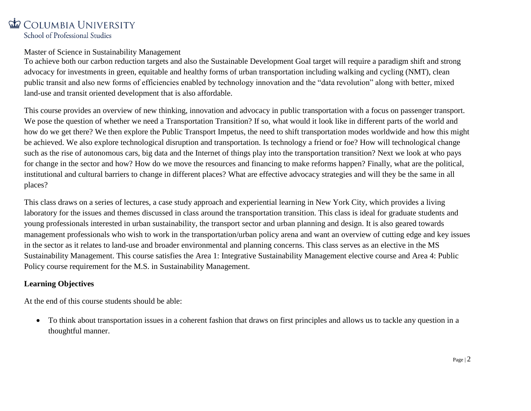#### Master of Science in Sustainability Management

To achieve both our carbon reduction targets and also the Sustainable Development Goal target will require a paradigm shift and strong advocacy for investments in green, equitable and healthy forms of urban transportation including walking and cycling (NMT), clean public transit and also new forms of efficiencies enabled by technology innovation and the "data revolution" along with better, mixed land-use and transit oriented development that is also affordable.

This course provides an overview of new thinking, innovation and advocacy in public transportation with a focus on passenger transport. We pose the question of whether we need a Transportation Transition? If so, what would it look like in different parts of the world and how do we get there? We then explore the Public Transport Impetus, the need to shift transportation modes worldwide and how this might be achieved. We also explore technological disruption and transportation. Is technology a friend or foe? How will technological change such as the rise of autonomous cars, big data and the Internet of things play into the transportation transition? Next we look at who pays for change in the sector and how? How do we move the resources and financing to make reforms happen? Finally, what are the political, institutional and cultural barriers to change in different places? What are effective advocacy strategies and will they be the same in all places?

This class draws on a series of lectures, a case study approach and experiential learning in New York City, which provides a living laboratory for the issues and themes discussed in class around the transportation transition. This class is ideal for graduate students and young professionals interested in urban sustainability, the transport sector and urban planning and design. It is also geared towards management professionals who wish to work in the transportation/urban policy arena and want an overview of cutting edge and key issues in the sector as it relates to land-use and broader environmental and planning concerns. This class serves as an elective in the MS Sustainability Management. This course satisfies the Area 1: Integrative Sustainability Management elective course and Area 4: Public Policy course requirement for the M.S. in Sustainability Management.

## **Learning Objectives**

At the end of this course students should be able:

 To think about transportation issues in a coherent fashion that draws on first principles and allows us to tackle any question in a thoughtful manner.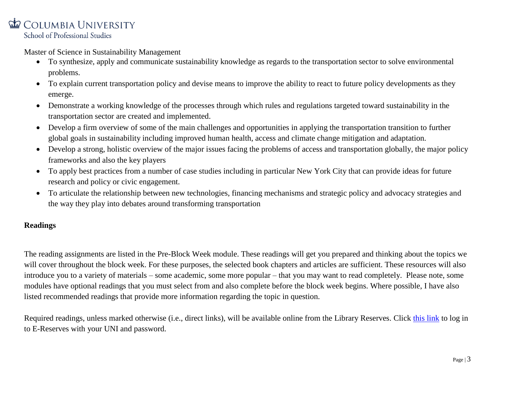Master of Science in Sustainability Management

- To synthesize, apply and communicate sustainability knowledge as regards to the transportation sector to solve environmental problems.
- To explain current transportation policy and devise means to improve the ability to react to future policy developments as they emerge.
- Demonstrate a working knowledge of the processes through which rules and regulations targeted toward sustainability in the transportation sector are created and implemented.
- Develop a firm overview of some of the main challenges and opportunities in applying the transportation transition to further global goals in sustainability including improved human health, access and climate change mitigation and adaptation.
- Develop a strong, holistic overview of the major issues facing the problems of access and transportation globally, the major policy frameworks and also the key players
- To apply best practices from a number of case studies including in particular New York City that can provide ideas for future research and policy or civic engagement.
- To articulate the relationship between new technologies, financing mechanisms and strategic policy and advocacy strategies and the way they play into debates around transforming transportation

## **Readings**

The reading assignments are listed in the Pre-Block Week module. These readings will get you prepared and thinking about the topics we will cover throughout the block week. For these purposes, the selected book chapters and articles are sufficient. These resources will also introduce you to a variety of materials – some academic, some more popular – that you may want to read completely. Please note, some modules have optional readings that you must select from and also complete before the block week begins. Where possible, I have also listed recommended readings that provide more information regarding the topic in question.

Required readings, unless marked otherwise (i.e., direct links), will be available online from the Library Reserves. Click [this link](https://cas.columbia.edu/cas/login?service=https%3a%2f%2fwww1.columbia.edu%2fsec-cgi-bin%2fcul%2frespac%2frespac) to log in to E-Reserves with your UNI and password.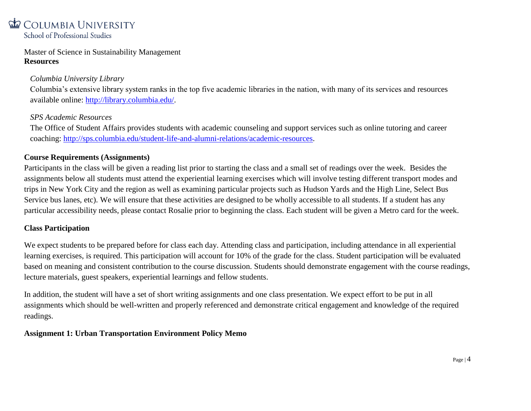Master of Science in Sustainability Management **Resources**

## *Columbia University Library*

Columbia's extensive library system ranks in the top five academic libraries in the nation, with many of its services and resources available online: [http://library.columbia.edu/.](http://library.columbia.edu/)

#### *SPS Academic Resources*

The Office of Student Affairs provides students with academic counseling and support services such as online tutoring and career coaching: [http://sps.columbia.edu/student-life-and-alumni-relations/academic-resources.](http://sps.columbia.edu/student-life-and-alumni-relations/academic-resources)

#### **Course Requirements (Assignments)**

Participants in the class will be given a reading list prior to starting the class and a small set of readings over the week. Besides the assignments below all students must attend the experiential learning exercises which will involve testing different transport modes and trips in New York City and the region as well as examining particular projects such as Hudson Yards and the High Line, Select Bus Service bus lanes, etc). We will ensure that these activities are designed to be wholly accessible to all students. If a student has any particular accessibility needs, please contact Rosalie prior to beginning the class. Each student will be given a Metro card for the week.

#### **Class Participation**

We expect students to be prepared before for class each day. Attending class and participation, including attendance in all experiential learning exercises, is required. This participation will account for 10% of the grade for the class. Student participation will be evaluated based on meaning and consistent contribution to the course discussion. Students should demonstrate engagement with the course readings, lecture materials, guest speakers, experiential learnings and fellow students.

In addition, the student will have a set of short writing assignments and one class presentation. We expect effort to be put in all assignments which should be well-written and properly referenced and demonstrate critical engagement and knowledge of the required readings.

#### **Assignment 1: Urban Transportation Environment Policy Memo**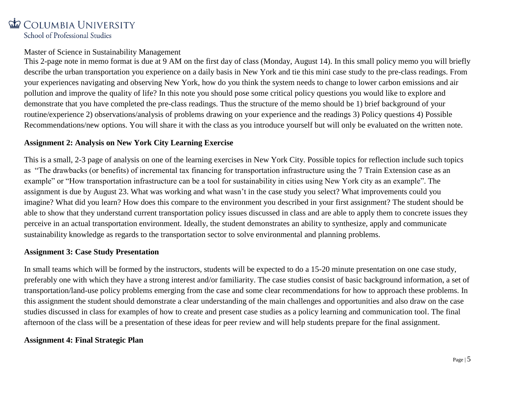#### Master of Science in Sustainability Management

This 2-page note in memo format is due at 9 AM on the first day of class (Monday, August 14). In this small policy memo you will briefly describe the urban transportation you experience on a daily basis in New York and tie this mini case study to the pre-class readings. From your experiences navigating and observing New York, how do you think the system needs to change to lower carbon emissions and air pollution and improve the quality of life? In this note you should pose some critical policy questions you would like to explore and demonstrate that you have completed the pre-class readings. Thus the structure of the memo should be 1) brief background of your routine/experience 2) observations/analysis of problems drawing on your experience and the readings 3) Policy questions 4) Possible Recommendations/new options. You will share it with the class as you introduce yourself but will only be evaluated on the written note.

## **Assignment 2: Analysis on New York City Learning Exercise**

This is a small, 2-3 page of analysis on one of the learning exercises in New York City. Possible topics for reflection include such topics as "The drawbacks (or benefits) of incremental tax financing for transportation infrastructure using the 7 Train Extension case as an example" or "How transportation infrastructure can be a tool for sustainability in cities using New York city as an example". The assignment is due by August 23. What was working and what wasn't in the case study you select? What improvements could you imagine? What did you learn? How does this compare to the environment you described in your first assignment? The student should be able to show that they understand current transportation policy issues discussed in class and are able to apply them to concrete issues they perceive in an actual transportation environment. Ideally, the student demonstrates an ability to synthesize, apply and communicate sustainability knowledge as regards to the transportation sector to solve environmental and planning problems.

#### **Assignment 3: Case Study Presentation**

In small teams which will be formed by the instructors, students will be expected to do a 15-20 minute presentation on one case study, preferably one with which they have a strong interest and/or familiarity. The case studies consist of basic background information, a set of transportation/land-use policy problems emerging from the case and some clear recommendations for how to approach these problems. In this assignment the student should demonstrate a clear understanding of the main challenges and opportunities and also draw on the case studies discussed in class for examples of how to create and present case studies as a policy learning and communication tool. The final afternoon of the class will be a presentation of these ideas for peer review and will help students prepare for the final assignment.

#### **Assignment 4: Final Strategic Plan**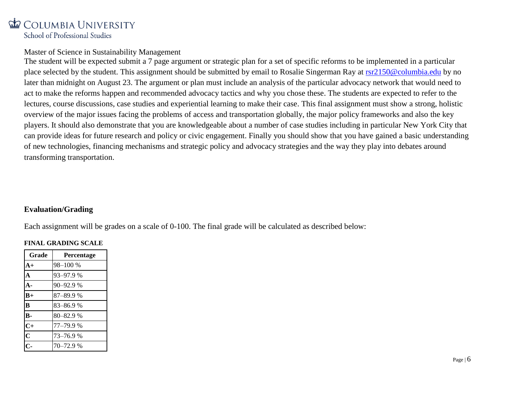#### Master of Science in Sustainability Management

The student will be expected submit a 7 page argument or strategic plan for a set of specific reforms to be implemented in a particular place selected by the student. This assignment should be submitted by email to Rosalie Singerman Ray at [rsr2150@columbia.edu](mailto:rsr2150@columbia.edu) by no later than midnight on August 23. The argument or plan must include an analysis of the particular advocacy network that would need to act to make the reforms happen and recommended advocacy tactics and why you chose these. The students are expected to refer to the lectures, course discussions, case studies and experiential learning to make their case. This final assignment must show a strong, holistic overview of the major issues facing the problems of access and transportation globally, the major policy frameworks and also the key players. It should also demonstrate that you are knowledgeable about a number of case studies including in particular New York City that can provide ideas for future research and policy or civic engagement. Finally you should show that you have gained a basic understanding of new technologies, financing mechanisms and strategic policy and advocacy strategies and the way they play into debates around transforming transportation.

#### **Evaluation/Grading**

Each assignment will be grades on a scale of 0-100. The final grade will be calculated as described below:

#### **FINAL GRADING SCALE**

| Grade                   | Percentage |
|-------------------------|------------|
| $A+$                    | 98-100 %   |
| A                       | 93-97.9%   |
| $A -$                   | 90-92.9%   |
| $B+$                    | 87-89.9%   |
| $\overline{B}$          | 83-86.9%   |
| B-                      | 80-82.9%   |
| $C+$                    | 77-79.9 %  |
| $\overline{\mathbf{C}}$ | 73-76.9%   |
|                         | 70-72.9 %  |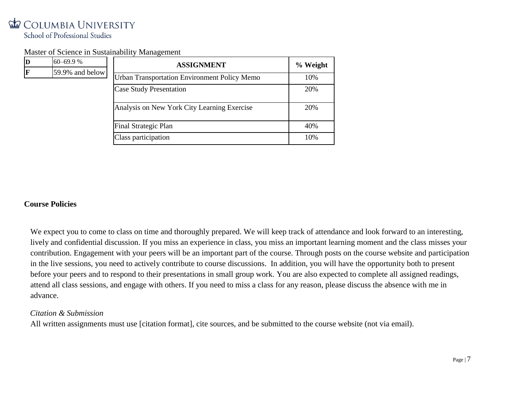$\mathbf{D}$ 

#### Master of Science in Sustainability Management

| D | $60 - 69.9%$    | <b>ASSIGNMENT</b>                                   | % Weight |
|---|-----------------|-----------------------------------------------------|----------|
| F | 59.9% and below | <b>Urban Transportation Environment Policy Memo</b> | 10%      |
|   |                 | <b>Case Study Presentation</b>                      | 20%      |
|   |                 | Analysis on New York City Learning Exercise         | 20%      |
|   |                 | Final Strategic Plan                                | 40%      |
|   |                 | Class participation                                 | 10%      |

#### **Course Policies**

We expect you to come to class on time and thoroughly prepared. We will keep track of attendance and look forward to an interesting, lively and confidential discussion. If you miss an experience in class, you miss an important learning moment and the class misses your contribution. Engagement with your peers will be an important part of the course. Through posts on the course website and participation in the live sessions, you need to actively contribute to course discussions. In addition, you will have the opportunity both to present before your peers and to respond to their presentations in small group work. You are also expected to complete all assigned readings, attend all class sessions, and engage with others. If you need to miss a class for any reason, please discuss the absence with me in advance.

#### *Citation & Submission*

All written assignments must use [citation format], cite sources, and be submitted to the course website (not via email).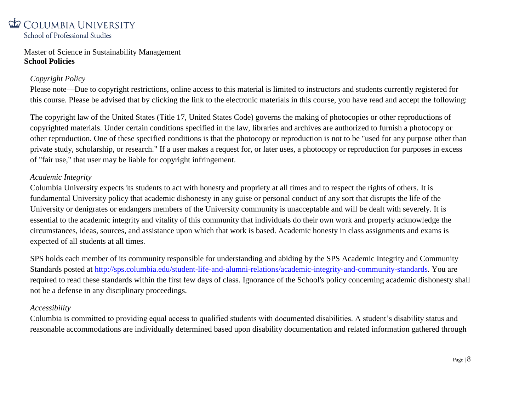Master of Science in Sustainability Management **School Policies** 

## *Copyright Policy*

Please note—Due to copyright restrictions, online access to this material is limited to instructors and students currently registered for this course. Please be advised that by clicking the link to the electronic materials in this course, you have read and accept the following:

The copyright law of the United States (Title 17, United States Code) governs the making of photocopies or other reproductions of copyrighted materials. Under certain conditions specified in the law, libraries and archives are authorized to furnish a photocopy or other reproduction. One of these specified conditions is that the photocopy or reproduction is not to be "used for any purpose other than private study, scholarship, or research." If a user makes a request for, or later uses, a photocopy or reproduction for purposes in excess of "fair use," that user may be liable for copyright infringement.

## *Academic Integrity*

Columbia University expects its students to act with honesty and propriety at all times and to respect the rights of others. It is fundamental University policy that academic dishonesty in any guise or personal conduct of any sort that disrupts the life of the University or denigrates or endangers members of the University community is unacceptable and will be dealt with severely. It is essential to the academic integrity and vitality of this community that individuals do their own work and properly acknowledge the circumstances, ideas, sources, and assistance upon which that work is based. Academic honesty in class assignments and exams is expected of all students at all times.

SPS holds each member of its community responsible for understanding and abiding by the SPS Academic Integrity and Community Standards posted at [http://sps.columbia.edu/student-life-and-alumni-relations/academic-integrity-and-community-standards.](http://sps.columbia.edu/student-life-and-alumni-relations/academic-integrity-and-community-standards) You are required to read these standards within the first few days of class. Ignorance of the School's policy concerning academic dishonesty shall not be a defense in any disciplinary proceedings.

## *Accessibility*

Columbia is committed to providing equal access to qualified students with documented disabilities. A student's disability status and reasonable accommodations are individually determined based upon disability documentation and related information gathered through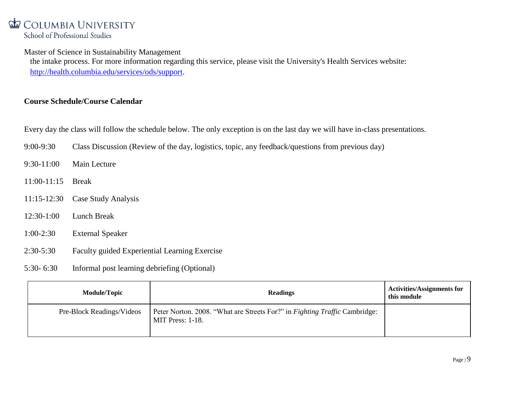Master of Science in Sustainability Management

the intake process. For more information regarding this service, please visit the University's Health Services website: [http://health.columbia.edu/services/ods/support.](http://health.columbia.edu/services/ods/support)

## **Course Schedule/Course Calendar**

Every day the class will follow the schedule below. The only exception is on the last day we will have in-class presentations.

- 9:00-9:30 Class Discussion (Review of the day, logistics, topic, any feedback/questions from previous day)
- 9:30-11:00 Main Lecture
- 11:00-11:15 Break
- 11:15-12:30 Case Study Analysis
- 12:30-1:00 Lunch Break
- 1:00-2:30 External Speaker
- 2:30-5:30 Faculty guided Experiential Learning Exercise
- 5:30- 6:30 Informal post learning debriefing (Optional)

| <b>Module/Topic</b>       | <b>Readings</b>                                                                                | <b>Activities/Assignments for</b><br>this module |
|---------------------------|------------------------------------------------------------------------------------------------|--------------------------------------------------|
| Pre-Block Readings/Videos | Peter Norton. 2008. "What are Streets For?" in Fighting Traffic Cambridge:<br>MIT Press: 1-18. |                                                  |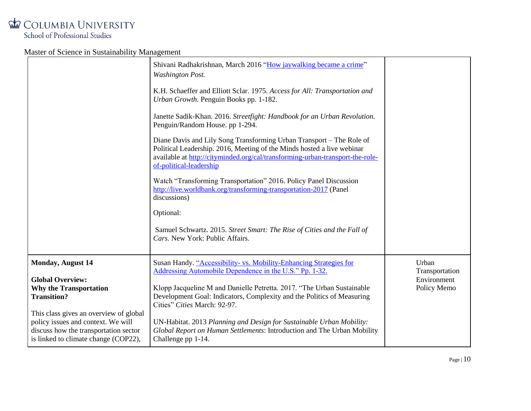|                                                                                                                                                                                                                                                                             | Shivani Radhakrishnan, March 2016 "How jaywalking became a crime"<br><b>Washington Post.</b><br>K.H. Schaeffer and Elliott Sclar. 1975. Access for All: Transportation and<br>Urban Growth. Penguin Books pp. 1-182.<br>Janette Sadik-Khan. 2016. Streetfight: Handbook for an Urban Revolution.<br>Penguin/Random House. pp 1-294.<br>Diane Davis and Lily Song Transforming Urban Transport – The Role of<br>Political Leadership. 2016, Meeting of the Minds hosted a live webinar<br>available at http://cityminded.org/cal/transforming-urban-transport-the-role-<br>of-political-leadership<br>Watch "Transforming Transportation" 2016. Policy Panel Discussion<br>http://live.worldbank.org/transforming-transportation-2017 (Panel<br>discussions)<br>Optional:<br>Samuel Schwartz. 2015. Street Smart: The Rise of Cities and the Fall of<br>Cars. New York: Public Affairs. |                                                       |
|-----------------------------------------------------------------------------------------------------------------------------------------------------------------------------------------------------------------------------------------------------------------------------|----------------------------------------------------------------------------------------------------------------------------------------------------------------------------------------------------------------------------------------------------------------------------------------------------------------------------------------------------------------------------------------------------------------------------------------------------------------------------------------------------------------------------------------------------------------------------------------------------------------------------------------------------------------------------------------------------------------------------------------------------------------------------------------------------------------------------------------------------------------------------------------|-------------------------------------------------------|
| <b>Monday, August 14</b><br><b>Global Overview:</b><br><b>Why the Transportation</b><br><b>Transition?</b><br>This class gives an overview of global<br>policy issues and context. We will<br>discuss how the transportation sector<br>is linked to climate change (COP22), | Susan Handy. "Accessibility- vs. Mobility-Enhancing Strategies for<br>Addressing Automobile Dependence in the U.S." Pp. 1-32.<br>Klopp Jacqueline M and Danielle Petretta. 2017. "The Urban Sustainable<br>Development Goal: Indicators, Complexity and the Politics of Measuring<br>Cities" Cities March: 92-97.<br>UN-Habitat. 2013 Planning and Design for Sustainable Urban Mobility:<br>Global Report on Human Settlements: Introduction and The Urban Mobility<br>Challenge pp 1-14.                                                                                                                                                                                                                                                                                                                                                                                             | Urban<br>Transportation<br>Environment<br>Policy Memo |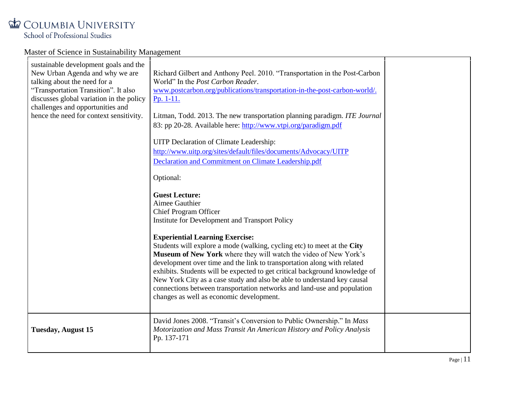| sustainable development goals and the<br>New Urban Agenda and why we are<br>talking about the need for a<br>"Transportation Transition". It also<br>discusses global variation in the policy<br>challenges and opportunities and<br>hence the need for context sensitivity. | Richard Gilbert and Anthony Peel. 2010. "Transportation in the Post-Carbon<br>World" In the Post Carbon Reader.<br>www.postcarbon.org/publications/transportation-in-the-post-carbon-world/.<br>$Pp. 1-11.$<br>Litman, Todd. 2013. The new transportation planning paradigm. ITE Journal<br>83: pp 20-28. Available here: http://www.vtpi.org/paradigm.pdf<br>UITP Declaration of Climate Leadership:<br>http://www.uitp.org/sites/default/files/documents/Advocacy/UITP<br>Declaration and Commitment on Climate Leadership.pdf<br>Optional:<br><b>Guest Lecture:</b><br>Aimee Gauthier<br>Chief Program Officer<br>Institute for Development and Transport Policy<br><b>Experiential Learning Exercise:</b><br>Students will explore a mode (walking, cycling etc) to meet at the City<br>Museum of New York where they will watch the video of New York's<br>development over time and the link to transportation along with related<br>exhibits. Students will be expected to get critical background knowledge of<br>New York City as a case study and also be able to understand key causal<br>connections between transportation networks and land-use and population<br>changes as well as economic development. |  |
|-----------------------------------------------------------------------------------------------------------------------------------------------------------------------------------------------------------------------------------------------------------------------------|--------------------------------------------------------------------------------------------------------------------------------------------------------------------------------------------------------------------------------------------------------------------------------------------------------------------------------------------------------------------------------------------------------------------------------------------------------------------------------------------------------------------------------------------------------------------------------------------------------------------------------------------------------------------------------------------------------------------------------------------------------------------------------------------------------------------------------------------------------------------------------------------------------------------------------------------------------------------------------------------------------------------------------------------------------------------------------------------------------------------------------------------------------------------------------------------------------------------------|--|
| <b>Tuesday, August 15</b>                                                                                                                                                                                                                                                   | David Jones 2008. "Transit's Conversion to Public Ownership." In Mass<br>Motorization and Mass Transit An American History and Policy Analysis<br>Pp. 137-171                                                                                                                                                                                                                                                                                                                                                                                                                                                                                                                                                                                                                                                                                                                                                                                                                                                                                                                                                                                                                                                            |  |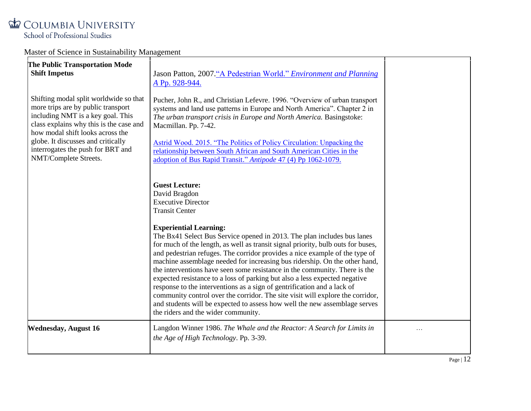| The Public Transportation Mode<br><b>Shift Impetus</b><br>Shifting modal split worldwide so that<br>more trips are by public transport<br>including NMT is a key goal. This<br>class explains why this is the case and<br>how modal shift looks across the<br>globe. It discusses and critically<br>interrogates the push for BRT and<br>NMT/Complete Streets. | Jason Patton, 2007."A Pedestrian World." Environment and Planning<br>A Pp. 928-944.<br>Pucher, John R., and Christian Lefevre. 1996. "Overview of urban transport<br>systems and land use patterns in Europe and North America". Chapter 2 in<br>The urban transport crisis in Europe and North America. Basingstoke:<br>Macmillan. Pp. 7-42.<br>Astrid Wood. 2015. "The Politics of Policy Circulation: Unpacking the<br>relationship between South African and South American Cities in the<br>adoption of Bus Rapid Transit." Antipode 47 (4) Pp 1062-1079.                                                                                                                                                                                                                                                                                                                                          |           |
|----------------------------------------------------------------------------------------------------------------------------------------------------------------------------------------------------------------------------------------------------------------------------------------------------------------------------------------------------------------|---------------------------------------------------------------------------------------------------------------------------------------------------------------------------------------------------------------------------------------------------------------------------------------------------------------------------------------------------------------------------------------------------------------------------------------------------------------------------------------------------------------------------------------------------------------------------------------------------------------------------------------------------------------------------------------------------------------------------------------------------------------------------------------------------------------------------------------------------------------------------------------------------------|-----------|
|                                                                                                                                                                                                                                                                                                                                                                | <b>Guest Lecture:</b><br>David Bragdon<br><b>Executive Director</b><br><b>Transit Center</b><br><b>Experiential Learning:</b><br>The Bx41 Select Bus Service opened in 2013. The plan includes bus lanes<br>for much of the length, as well as transit signal priority, bulb outs for buses,<br>and pedestrian refuges. The corridor provides a nice example of the type of<br>machine assemblage needed for increasing bus ridership. On the other hand,<br>the interventions have seen some resistance in the community. There is the<br>expected resistance to a loss of parking but also a less expected negative<br>response to the interventions as a sign of gentrification and a lack of<br>community control over the corridor. The site visit will explore the corridor,<br>and students will be expected to assess how well the new assemblage serves<br>the riders and the wider community. |           |
| <b>Wednesday, August 16</b>                                                                                                                                                                                                                                                                                                                                    | Langdon Winner 1986. The Whale and the Reactor: A Search for Limits in<br>the Age of High Technology. Pp. 3-39.                                                                                                                                                                                                                                                                                                                                                                                                                                                                                                                                                                                                                                                                                                                                                                                         | $\ddotsc$ |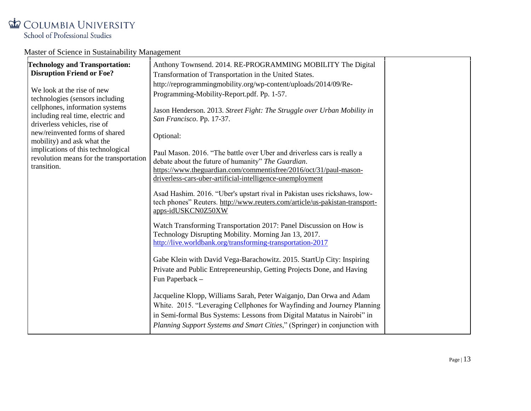| <b>Technology and Transportation:</b><br><b>Disruption Friend or Foe?</b><br>We look at the rise of new<br>technologies (sensors including<br>cellphones, information systems<br>including real time, electric and<br>driverless vehicles, rise of<br>new/reinvented forms of shared | Anthony Townsend. 2014. RE-PROGRAMMING MOBILITY The Digital<br>Transformation of Transportation in the United States.<br>http://reprogrammingmobility.org/wp-content/uploads/2014/09/Re-<br>Programming-Mobility-Report.pdf. Pp. 1-57.<br>Jason Henderson. 2013. Street Fight: The Struggle over Urban Mobility in<br>San Francisco. Pp. 17-37.<br>Optional:                                                                                      |  |
|--------------------------------------------------------------------------------------------------------------------------------------------------------------------------------------------------------------------------------------------------------------------------------------|---------------------------------------------------------------------------------------------------------------------------------------------------------------------------------------------------------------------------------------------------------------------------------------------------------------------------------------------------------------------------------------------------------------------------------------------------|--|
| mobility) and ask what the<br>implications of this technological<br>revolution means for the transportation<br>transition.                                                                                                                                                           | Paul Mason. 2016. "The battle over Uber and driverless cars is really a<br>debate about the future of humanity" The Guardian.<br>https://www.theguardian.com/commentisfree/2016/oct/31/paul-mason-<br>driverless-cars-uber-artificial-intelligence-unemployment<br>Asad Hashim. 2016. "Uber's upstart rival in Pakistan uses rickshaws, low-<br>tech phones" Reuters. http://www.reuters.com/article/us-pakistan-transport-<br>apps-idUSKCN0Z50XW |  |
|                                                                                                                                                                                                                                                                                      | Watch Transforming Transportation 2017: Panel Discussion on How is<br>Technology Disrupting Mobility. Morning Jan 13, 2017.<br>http://live.worldbank.org/transforming-transportation-2017<br>Gabe Klein with David Vega-Barachowitz. 2015. StartUp City: Inspiring<br>Private and Public Entrepreneurship, Getting Projects Done, and Having<br>Fun Paperback -                                                                                   |  |
|                                                                                                                                                                                                                                                                                      | Jacqueline Klopp, Williams Sarah, Peter Waiganjo, Dan Orwa and Adam<br>White. 2015. "Leveraging Cellphones for Wayfinding and Journey Planning<br>in Semi-formal Bus Systems: Lessons from Digital Matatus in Nairobi" in<br>Planning Support Systems and Smart Cities," (Springer) in conjunction with                                                                                                                                           |  |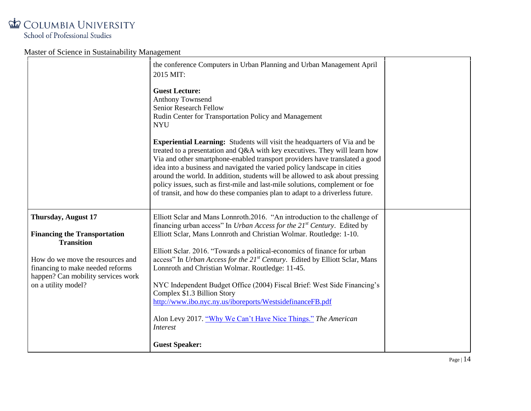COLUMBIA UNIVERSITY

School of Professional Studies

|                                                                                                            | the conference Computers in Urban Planning and Urban Management April<br>2015 MIT:                                                                                                                                                                                                                                                                                                                                                                                                                                                                                         |  |
|------------------------------------------------------------------------------------------------------------|----------------------------------------------------------------------------------------------------------------------------------------------------------------------------------------------------------------------------------------------------------------------------------------------------------------------------------------------------------------------------------------------------------------------------------------------------------------------------------------------------------------------------------------------------------------------------|--|
|                                                                                                            | <b>Guest Lecture:</b><br>Anthony Townsend<br>Senior Research Fellow<br>Rudin Center for Transportation Policy and Management<br><b>NYU</b>                                                                                                                                                                                                                                                                                                                                                                                                                                 |  |
|                                                                                                            | <b>Experiential Learning:</b> Students will visit the headquarters of Via and be<br>treated to a presentation and Q&A with key executives. They will learn how<br>Via and other smartphone-enabled transport providers have translated a good<br>idea into a business and navigated the varied policy landscape in cities<br>around the world. In addition, students will be allowed to ask about pressing<br>policy issues, such as first-mile and last-mile solutions, complement or foe<br>of transit, and how do these companies plan to adapt to a driverless future. |  |
| <b>Thursday, August 17</b>                                                                                 | Elliott Sclar and Mans Lonnroth.2016. "An introduction to the challenge of<br>financing urban access" In Urban Access for the 21 <sup>st</sup> Century. Edited by                                                                                                                                                                                                                                                                                                                                                                                                          |  |
| <b>Financing the Transportation</b><br><b>Transition</b>                                                   | Elliott Sclar, Mans Lonnroth and Christian Wolmar. Routledge: 1-10.                                                                                                                                                                                                                                                                                                                                                                                                                                                                                                        |  |
| How do we move the resources and<br>financing to make needed reforms<br>happen? Can mobility services work | Elliott Sclar. 2016. "Towards a political-economics of finance for urban<br>access" In Urban Access for the 21 <sup>st</sup> Century. Edited by Elliott Sclar, Mans<br>Lonnroth and Christian Wolmar. Routledge: 11-45.                                                                                                                                                                                                                                                                                                                                                    |  |
| on a utility model?                                                                                        | NYC Independent Budget Office (2004) Fiscal Brief: West Side Financing's<br>Complex \$1.3 Billion Story<br>http://www.ibo.nyc.ny.us/iboreports/WestsidefinanceFB.pdf                                                                                                                                                                                                                                                                                                                                                                                                       |  |
|                                                                                                            | Alon Levy 2017. "Why We Can't Have Nice Things." The American<br><i>Interest</i>                                                                                                                                                                                                                                                                                                                                                                                                                                                                                           |  |
|                                                                                                            | <b>Guest Speaker:</b>                                                                                                                                                                                                                                                                                                                                                                                                                                                                                                                                                      |  |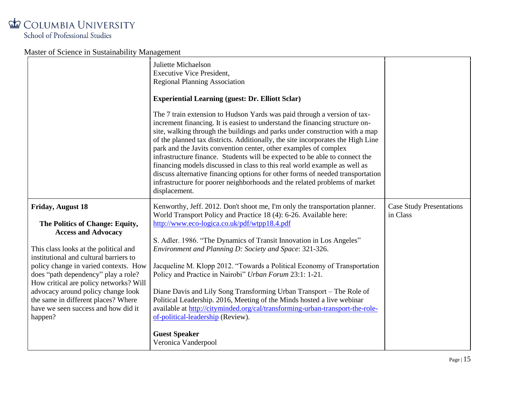|                                                                                                                                                                                                                                                                                                                                                                                                                                       | Juliette Michaelson<br><b>Executive Vice President,</b><br><b>Regional Planning Association</b><br><b>Experiential Learning (guest: Dr. Elliott Sclar)</b><br>The 7 train extension to Hudson Yards was paid through a version of tax-<br>increment financing. It is easiest to understand the financing structure on-<br>site, walking through the buildings and parks under construction with a map<br>of the planned tax districts. Additionally, the site incorporates the High Line<br>park and the Javits convention center, other examples of complex<br>infrastructure finance. Students will be expected to be able to connect the<br>financing models discussed in class to this real world example as well as<br>discuss alternative financing options for other forms of needed transportation<br>infrastructure for poorer neighborhoods and the related problems of market<br>displacement. |                                             |
|---------------------------------------------------------------------------------------------------------------------------------------------------------------------------------------------------------------------------------------------------------------------------------------------------------------------------------------------------------------------------------------------------------------------------------------|-----------------------------------------------------------------------------------------------------------------------------------------------------------------------------------------------------------------------------------------------------------------------------------------------------------------------------------------------------------------------------------------------------------------------------------------------------------------------------------------------------------------------------------------------------------------------------------------------------------------------------------------------------------------------------------------------------------------------------------------------------------------------------------------------------------------------------------------------------------------------------------------------------------|---------------------------------------------|
| <b>Friday, August 18</b><br>The Politics of Change: Equity,<br><b>Access and Advocacy</b><br>This class looks at the political and<br>institutional and cultural barriers to<br>policy change in varied contexts. How<br>does "path dependency" play a role?<br>How critical are policy networks? Will<br>advocacy around policy change look<br>the same in different places? Where<br>have we seen success and how did it<br>happen? | Kenworthy, Jeff. 2012. Don't shoot me, I'm only the transportation planner.<br>World Transport Policy and Practice 18 (4): 6-26. Available here:<br>http://www.eco-logica.co.uk/pdf/wtpp18.4.pdf<br>S. Adler. 1986. "The Dynamics of Transit Innovation in Los Angeles"<br>Environment and Planning D: Society and Space: 321-326.<br>Jacqueline M. Klopp 2012. "Towards a Political Economy of Transportation<br>Policy and Practice in Nairobi" Urban Forum 23:1: 1-21.<br>Diane Davis and Lily Song Transforming Urban Transport - The Role of<br>Political Leadership. 2016, Meeting of the Minds hosted a live webinar<br>available at http://cityminded.org/cal/transforming-urban-transport-the-role-<br>of-political-leadership (Review).<br><b>Guest Speaker</b><br>Veronica Vanderpool                                                                                                          | <b>Case Study Presentations</b><br>in Class |